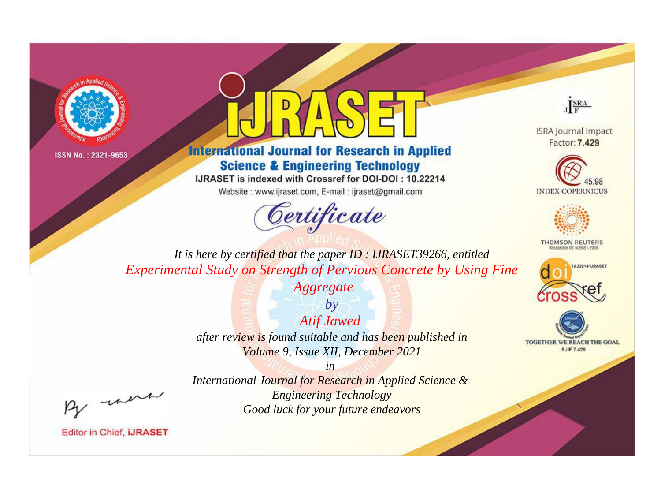



**International Journal for Research in Applied Science & Engineering Technology** 

IJRASET is indexed with Crossref for DOI-DOI: 10.22214

Website: www.ijraset.com, E-mail: ijraset@gmail.com



JERA

**ISRA Journal Impact** Factor: 7.429





**THOMSON REUTERS** 



TOGETHER WE REACH THE GOAL **SJIF 7.429** 

It is here by certified that the paper ID: IJRASET39266, entitled **Experimental Study on Strength of Pervious Concrete by Using Fine** 

**Aggregate** 

 $by$ **Atif Jawed** after review is found suitable and has been published in Volume 9, Issue XII, December 2021

 $in$ International Journal for Research in Applied Science & **Engineering Technology** Good luck for your future endeavors

were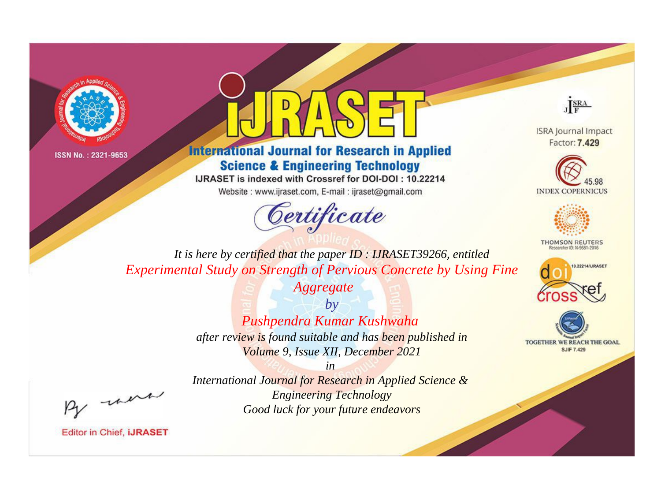



**International Journal for Research in Applied Science & Engineering Technology** 

IJRASET is indexed with Crossref for DOI-DOI: 10.22214

Website: www.ijraset.com, E-mail: ijraset@gmail.com





**ISRA Journal Impact** Factor: 7.429





**THOMSON REUTERS** 



TOGETHER WE REACH THE GOAL **SJIF 7.429** 

*It is here by certified that the paper ID : IJRASET39266, entitled Experimental Study on Strength of Pervious Concrete by Using Fine* 

> *Aggregate by*

*Pushpendra Kumar Kushwaha after review is found suitable and has been published in Volume 9, Issue XII, December 2021*

, un

*International Journal for Research in Applied Science & Engineering Technology Good luck for your future endeavors*

*in*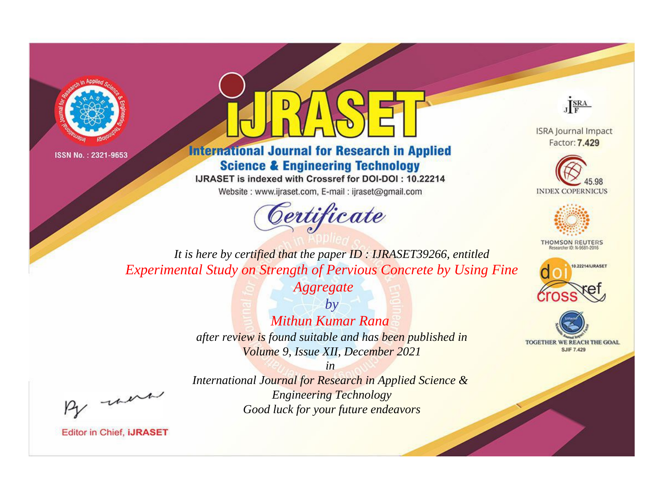



**International Journal for Research in Applied Science & Engineering Technology** 

IJRASET is indexed with Crossref for DOI-DOI: 10.22214

Website: www.ijraset.com, E-mail: ijraset@gmail.com





**ISRA Journal Impact** Factor: 7.429





**THOMSON REUTERS** 



TOGETHER WE REACH THE GOAL **SJIF 7.429** 

*It is here by certified that the paper ID : IJRASET39266, entitled Experimental Study on Strength of Pervious Concrete by Using Fine* 

*Aggregate*

*by Mithun Kumar Rana after review is found suitable and has been published in Volume 9, Issue XII, December 2021*

*in* 

, un

*International Journal for Research in Applied Science & Engineering Technology Good luck for your future endeavors*